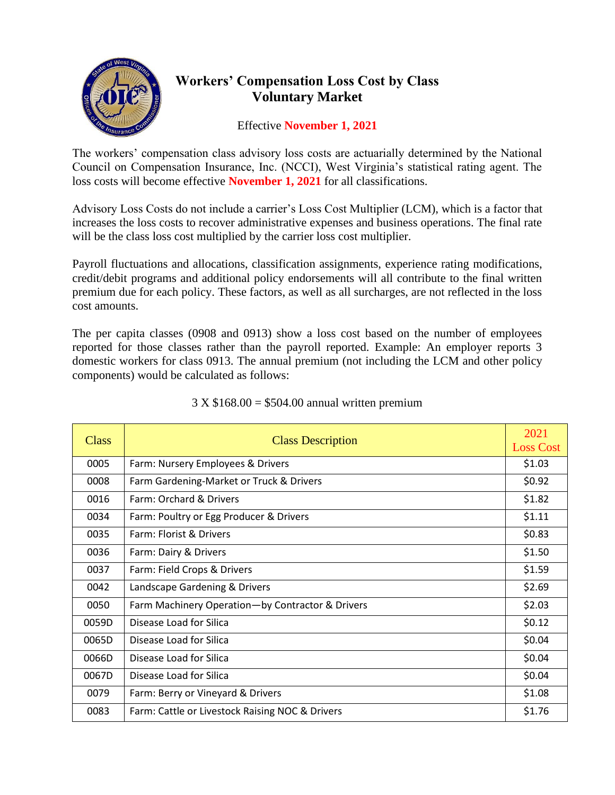

## **Workers' Compensation Loss Cost by Class Voluntary Market**

## Effective **November 1, 2021**

The workers' compensation class advisory loss costs are actuarially determined by the National Council on Compensation Insurance, Inc. (NCCI), West Virginia's statistical rating agent. The loss costs will become effective **November 1, 2021** for all classifications.

Advisory Loss Costs do not include a carrier's Loss Cost Multiplier (LCM), which is a factor that increases the loss costs to recover administrative expenses and business operations. The final rate will be the class loss cost multiplied by the carrier loss cost multiplier.

Payroll fluctuations and allocations, classification assignments, experience rating modifications, credit/debit programs and additional policy endorsements will all contribute to the final written premium due for each policy. These factors, as well as all surcharges, are not reflected in the loss cost amounts.

The per capita classes (0908 and 0913) show a loss cost based on the number of employees reported for those classes rather than the payroll reported. Example: An employer reports 3 domestic workers for class 0913. The annual premium (not including the LCM and other policy components) would be calculated as follows:

| Class | <b>Class Description</b>                         | 2021<br><b>Loss Cost</b> |
|-------|--------------------------------------------------|--------------------------|
| 0005  | Farm: Nursery Employees & Drivers                | \$1.03                   |
| 0008  | Farm Gardening-Market or Truck & Drivers         | \$0.92                   |
| 0016  | Farm: Orchard & Drivers                          | \$1.82                   |
| 0034  | Farm: Poultry or Egg Producer & Drivers          | \$1.11                   |
| 0035  | <b>Farm: Florist &amp; Drivers</b>               | \$0.83                   |
| 0036  | Farm: Dairy & Drivers                            | \$1.50                   |
| 0037  | Farm: Field Crops & Drivers                      | \$1.59                   |
| 0042  | Landscape Gardening & Drivers                    | \$2.69                   |
| 0050  | Farm Machinery Operation-by Contractor & Drivers | \$2.03                   |
| 0059D | Disease Load for Silica                          | \$0.12                   |
| 0065D | Disease Load for Silica                          | \$0.04                   |
| 0066D | Disease Load for Silica                          | \$0.04                   |
| 0067D | Disease Load for Silica                          | \$0.04                   |
| 0079  | Farm: Berry or Vineyard & Drivers                | \$1.08                   |
| 0083  | Farm: Cattle or Livestock Raising NOC & Drivers  | \$1.76                   |

## $3 \text{ X } $168.00 = $504.00$  annual written premium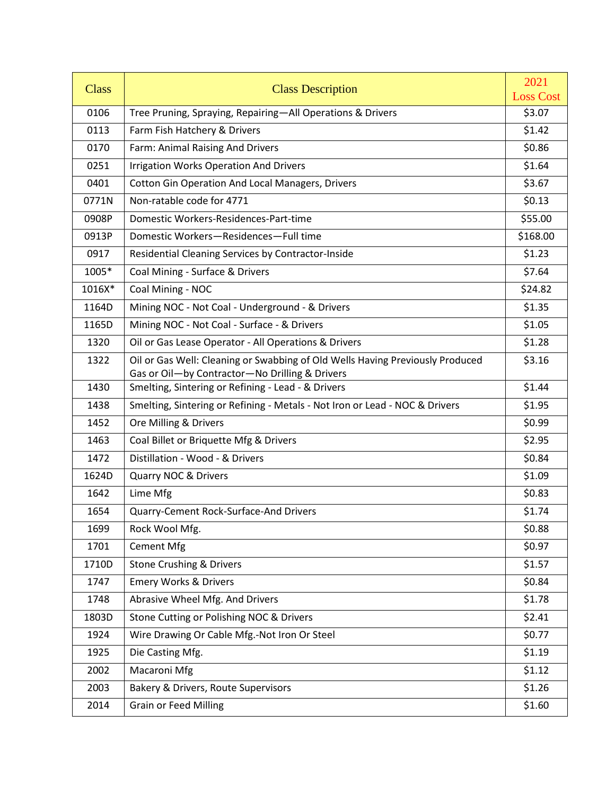| <b>Class</b> | <b>Class Description</b>                                                                                                        | 2021<br><b>Loss Cost</b> |
|--------------|---------------------------------------------------------------------------------------------------------------------------------|--------------------------|
| 0106         | Tree Pruning, Spraying, Repairing-All Operations & Drivers                                                                      | \$3.07                   |
| 0113         | Farm Fish Hatchery & Drivers                                                                                                    | \$1.42                   |
| 0170         | Farm: Animal Raising And Drivers                                                                                                | \$0.86                   |
| 0251         | <b>Irrigation Works Operation And Drivers</b>                                                                                   | \$1.64                   |
| 0401         | <b>Cotton Gin Operation And Local Managers, Drivers</b>                                                                         | \$3.67                   |
| 0771N        | Non-ratable code for 4771                                                                                                       | \$0.13                   |
| 0908P        | Domestic Workers-Residences-Part-time                                                                                           | \$55.00                  |
| 0913P        | Domestic Workers-Residences-Full time                                                                                           | \$168.00                 |
| 0917         | Residential Cleaning Services by Contractor-Inside                                                                              | \$1.23                   |
| 1005*        | Coal Mining - Surface & Drivers                                                                                                 | \$7.64                   |
| 1016X*       | Coal Mining - NOC                                                                                                               | \$24.82                  |
| 1164D        | Mining NOC - Not Coal - Underground - & Drivers                                                                                 | \$1.35                   |
| 1165D        | Mining NOC - Not Coal - Surface - & Drivers                                                                                     | \$1.05                   |
| 1320         | Oil or Gas Lease Operator - All Operations & Drivers                                                                            | \$1.28                   |
| 1322         | Oil or Gas Well: Cleaning or Swabbing of Old Wells Having Previously Produced<br>Gas or Oil-by Contractor-No Drilling & Drivers | \$3.16                   |
| 1430         | Smelting, Sintering or Refining - Lead - & Drivers                                                                              | \$1.44                   |
| 1438         | Smelting, Sintering or Refining - Metals - Not Iron or Lead - NOC & Drivers                                                     | \$1.95                   |
| 1452         | Ore Milling & Drivers                                                                                                           | \$0.99                   |
| 1463         | Coal Billet or Briquette Mfg & Drivers                                                                                          | \$2.95                   |
| 1472         | Distillation - Wood - & Drivers                                                                                                 | \$0.84                   |
| 1624D        | <b>Quarry NOC &amp; Drivers</b>                                                                                                 | \$1.09                   |
| 1642         | Lime Mfg                                                                                                                        | \$0.83                   |
| 1654         | Quarry-Cement Rock-Surface-And Drivers                                                                                          | \$1.74                   |
| 1699         | Rock Wool Mfg.                                                                                                                  | \$0.88                   |
| 1701         | <b>Cement Mfg</b>                                                                                                               | \$0.97                   |
| 1710D        | Stone Crushing & Drivers                                                                                                        | \$1.57                   |
| 1747         | <b>Emery Works &amp; Drivers</b>                                                                                                | \$0.84                   |
| 1748         | Abrasive Wheel Mfg. And Drivers                                                                                                 | \$1.78                   |
| 1803D        | Stone Cutting or Polishing NOC & Drivers                                                                                        | \$2.41                   |
| 1924         | Wire Drawing Or Cable Mfg.-Not Iron Or Steel                                                                                    | \$0.77                   |
| 1925         | Die Casting Mfg.                                                                                                                | \$1.19                   |
| 2002         | Macaroni Mfg                                                                                                                    | \$1.12                   |
| 2003         | Bakery & Drivers, Route Supervisors                                                                                             | \$1.26                   |
| 2014         | <b>Grain or Feed Milling</b>                                                                                                    | \$1.60                   |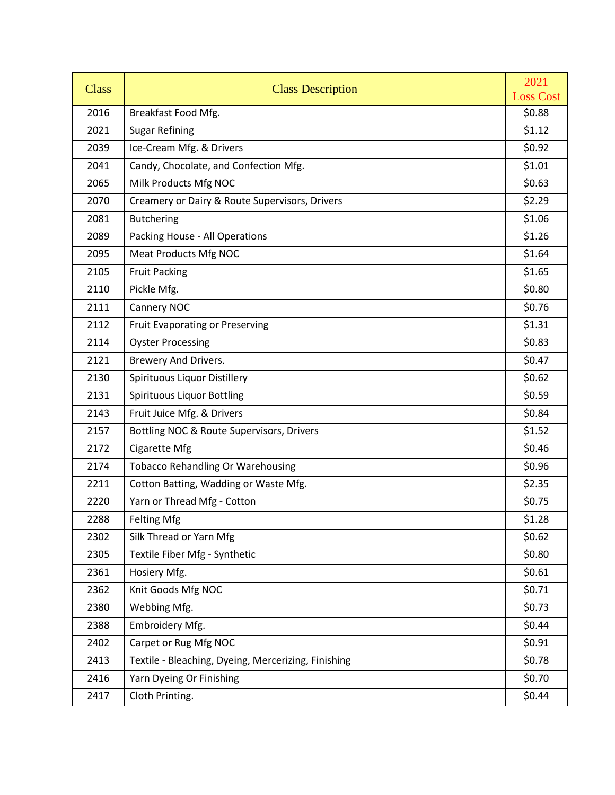| <b>Class</b> | <b>Class Description</b>                            | 2021                       |
|--------------|-----------------------------------------------------|----------------------------|
| 2016         | Breakfast Food Mfg.                                 | <b>Loss Cost</b><br>\$0.88 |
| 2021         | <b>Sugar Refining</b>                               | \$1.12                     |
| 2039         | Ice-Cream Mfg. & Drivers                            | \$0.92                     |
| 2041         | Candy, Chocolate, and Confection Mfg.               | \$1.01                     |
| 2065         | Milk Products Mfg NOC                               | \$0.63                     |
| 2070         | Creamery or Dairy & Route Supervisors, Drivers      | \$2.29                     |
| 2081         | <b>Butchering</b>                                   | \$1.06                     |
| 2089         | Packing House - All Operations                      | \$1.26                     |
| 2095         | <b>Meat Products Mfg NOC</b>                        | \$1.64                     |
| 2105         | <b>Fruit Packing</b>                                | \$1.65                     |
| 2110         | Pickle Mfg.                                         | \$0.80                     |
| 2111         | Cannery NOC                                         | \$0.76                     |
| 2112         |                                                     | \$1.31                     |
|              | Fruit Evaporating or Preserving                     | \$0.83                     |
| 2114         | <b>Oyster Processing</b>                            |                            |
| 2121         | Brewery And Drivers.                                | \$0.47                     |
| 2130         | Spirituous Liquor Distillery                        | \$0.62                     |
| 2131         | <b>Spirituous Liquor Bottling</b>                   | \$0.59                     |
| 2143         | Fruit Juice Mfg. & Drivers                          | \$0.84                     |
| 2157         | Bottling NOC & Route Supervisors, Drivers           | \$1.52                     |
| 2172         | Cigarette Mfg                                       | \$0.46                     |
| 2174         | <b>Tobacco Rehandling Or Warehousing</b>            | \$0.96                     |
| 2211         | Cotton Batting, Wadding or Waste Mfg.               | \$2.35                     |
| 2220         | Yarn or Thread Mfg - Cotton                         | \$0.75                     |
| 2288         | <b>Felting Mfg</b>                                  | \$1.28                     |
| 2302         | Silk Thread or Yarn Mfg                             | \$0.62                     |
| 2305         | Textile Fiber Mfg - Synthetic                       | \$0.80                     |
| 2361         | Hosiery Mfg.                                        | \$0.61                     |
| 2362         | Knit Goods Mfg NOC                                  | \$0.71                     |
| 2380         | Webbing Mfg.                                        | \$0.73                     |
| 2388         | Embroidery Mfg.                                     | \$0.44                     |
| 2402         | Carpet or Rug Mfg NOC                               | \$0.91                     |
| 2413         | Textile - Bleaching, Dyeing, Mercerizing, Finishing | \$0.78                     |
| 2416         | Yarn Dyeing Or Finishing                            | \$0.70                     |
| 2417         | Cloth Printing.                                     | \$0.44                     |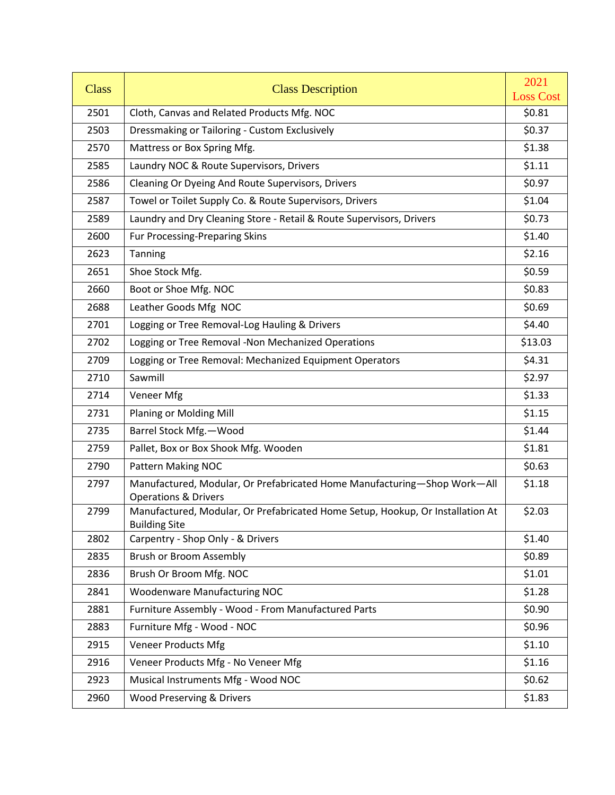| <b>Class</b> | <b>Class Description</b>                                                                                    | 2021<br><b>Loss Cost</b> |
|--------------|-------------------------------------------------------------------------------------------------------------|--------------------------|
| 2501         | Cloth, Canvas and Related Products Mfg. NOC                                                                 | \$0.81                   |
| 2503         | Dressmaking or Tailoring - Custom Exclusively                                                               | \$0.37                   |
| 2570         | Mattress or Box Spring Mfg.                                                                                 | \$1.38                   |
| 2585         | Laundry NOC & Route Supervisors, Drivers                                                                    | \$1.11                   |
| 2586         | Cleaning Or Dyeing And Route Supervisors, Drivers                                                           | \$0.97                   |
| 2587         | Towel or Toilet Supply Co. & Route Supervisors, Drivers                                                     | \$1.04                   |
| 2589         | Laundry and Dry Cleaning Store - Retail & Route Supervisors, Drivers                                        | \$0.73                   |
| 2600         | <b>Fur Processing-Preparing Skins</b>                                                                       | \$1.40                   |
| 2623         | Tanning                                                                                                     | \$2.16                   |
| 2651         | Shoe Stock Mfg.                                                                                             | \$0.59                   |
| 2660         | Boot or Shoe Mfg. NOC                                                                                       | \$0.83                   |
| 2688         | Leather Goods Mfg NOC                                                                                       | \$0.69                   |
| 2701         | Logging or Tree Removal-Log Hauling & Drivers                                                               | \$4.40                   |
| 2702         | Logging or Tree Removal -Non Mechanized Operations                                                          | \$13.03                  |
| 2709         | Logging or Tree Removal: Mechanized Equipment Operators                                                     | \$4.31                   |
| 2710         | Sawmill                                                                                                     | \$2.97                   |
| 2714         | Veneer Mfg                                                                                                  | \$1.33                   |
| 2731         | Planing or Molding Mill                                                                                     | \$1.15                   |
| 2735         | Barrel Stock Mfg.-Wood                                                                                      | \$1.44                   |
| 2759         | Pallet, Box or Box Shook Mfg. Wooden                                                                        | \$1.81                   |
| 2790         | Pattern Making NOC                                                                                          | \$0.63                   |
| 2797         | Manufactured, Modular, Or Prefabricated Home Manufacturing-Shop Work-All<br><b>Operations &amp; Drivers</b> | \$1.18                   |
| 2799         | Manufactured, Modular, Or Prefabricated Home Setup, Hookup, Or Installation At<br><b>Building Site</b>      | \$2.03                   |
| 2802         | Carpentry - Shop Only - & Drivers                                                                           | \$1.40                   |
| 2835         | <b>Brush or Broom Assembly</b>                                                                              | \$0.89                   |
| 2836         | Brush Or Broom Mfg. NOC                                                                                     | \$1.01                   |
| 2841         | <b>Woodenware Manufacturing NOC</b>                                                                         | \$1.28                   |
| 2881         | Furniture Assembly - Wood - From Manufactured Parts                                                         | \$0.90                   |
| 2883         | Furniture Mfg - Wood - NOC                                                                                  | \$0.96                   |
| 2915         | <b>Veneer Products Mfg</b>                                                                                  | \$1.10                   |
| 2916         | Veneer Products Mfg - No Veneer Mfg                                                                         | \$1.16                   |
| 2923         | Musical Instruments Mfg - Wood NOC                                                                          | \$0.62                   |
| 2960         | Wood Preserving & Drivers                                                                                   | \$1.83                   |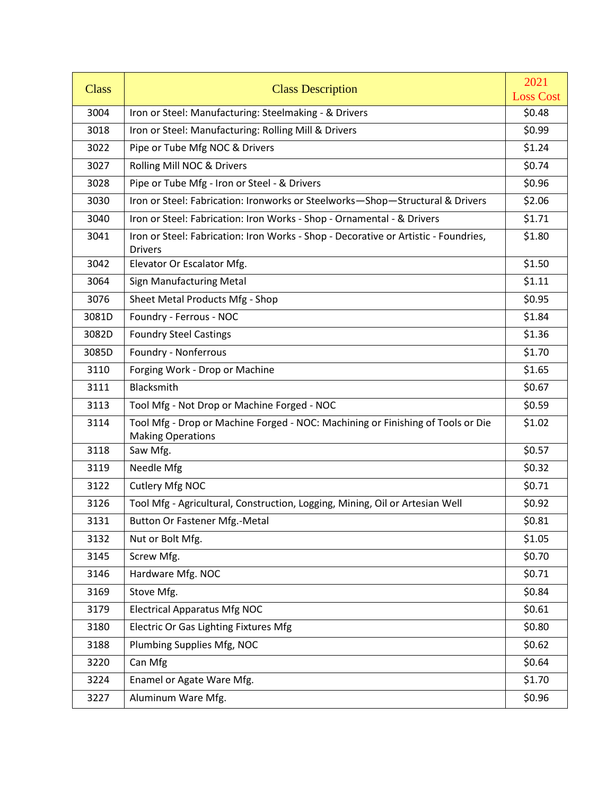| <b>Class</b> | <b>Class Description</b>                                                                                    | 2021<br><b>Loss Cost</b> |
|--------------|-------------------------------------------------------------------------------------------------------------|--------------------------|
| 3004         | Iron or Steel: Manufacturing: Steelmaking - & Drivers                                                       | \$0.48                   |
| 3018         | Iron or Steel: Manufacturing: Rolling Mill & Drivers                                                        | \$0.99                   |
| 3022         | Pipe or Tube Mfg NOC & Drivers                                                                              | \$1.24                   |
| 3027         | Rolling Mill NOC & Drivers                                                                                  | \$0.74                   |
| 3028         | Pipe or Tube Mfg - Iron or Steel - & Drivers                                                                | \$0.96                   |
| 3030         | Iron or Steel: Fabrication: Ironworks or Steelworks-Shop-Structural & Drivers                               | \$2.06                   |
| 3040         | Iron or Steel: Fabrication: Iron Works - Shop - Ornamental - & Drivers                                      | \$1.71                   |
| 3041         | Iron or Steel: Fabrication: Iron Works - Shop - Decorative or Artistic - Foundries,<br><b>Drivers</b>       | \$1.80                   |
| 3042         | Elevator Or Escalator Mfg.                                                                                  | \$1.50                   |
| 3064         | <b>Sign Manufacturing Metal</b>                                                                             | \$1.11                   |
| 3076         | Sheet Metal Products Mfg - Shop                                                                             | \$0.95                   |
| 3081D        | Foundry - Ferrous - NOC                                                                                     | \$1.84                   |
| 3082D        | <b>Foundry Steel Castings</b>                                                                               | \$1.36                   |
| 3085D        | Foundry - Nonferrous                                                                                        | \$1.70                   |
| 3110         | Forging Work - Drop or Machine                                                                              | \$1.65                   |
| 3111         | Blacksmith                                                                                                  | \$0.67                   |
| 3113         | Tool Mfg - Not Drop or Machine Forged - NOC                                                                 | \$0.59                   |
| 3114         | Tool Mfg - Drop or Machine Forged - NOC: Machining or Finishing of Tools or Die<br><b>Making Operations</b> | \$1.02                   |
| 3118         | Saw Mfg.                                                                                                    | \$0.57                   |
| 3119         | Needle Mfg                                                                                                  | \$0.32                   |
| 3122         | Cutlery Mfg NOC                                                                                             | \$0.71                   |
| 3126         | Tool Mfg - Agricultural, Construction, Logging, Mining, Oil or Artesian Well                                | \$0.92                   |
| 3131         | <b>Button Or Fastener Mfg.-Metal</b>                                                                        | \$0.81                   |
| 3132         | Nut or Bolt Mfg.                                                                                            | \$1.05                   |
| 3145         | Screw Mfg.                                                                                                  | \$0.70                   |
| 3146         | Hardware Mfg. NOC                                                                                           | \$0.71                   |
| 3169         | Stove Mfg.                                                                                                  | \$0.84                   |
| 3179         | <b>Electrical Apparatus Mfg NOC</b>                                                                         | \$0.61                   |
| 3180         | Electric Or Gas Lighting Fixtures Mfg                                                                       | \$0.80                   |
| 3188         | Plumbing Supplies Mfg, NOC                                                                                  | \$0.62                   |
| 3220         | Can Mfg                                                                                                     | \$0.64                   |
| 3224         | Enamel or Agate Ware Mfg.                                                                                   | \$1.70                   |
| 3227         | Aluminum Ware Mfg.                                                                                          | \$0.96                   |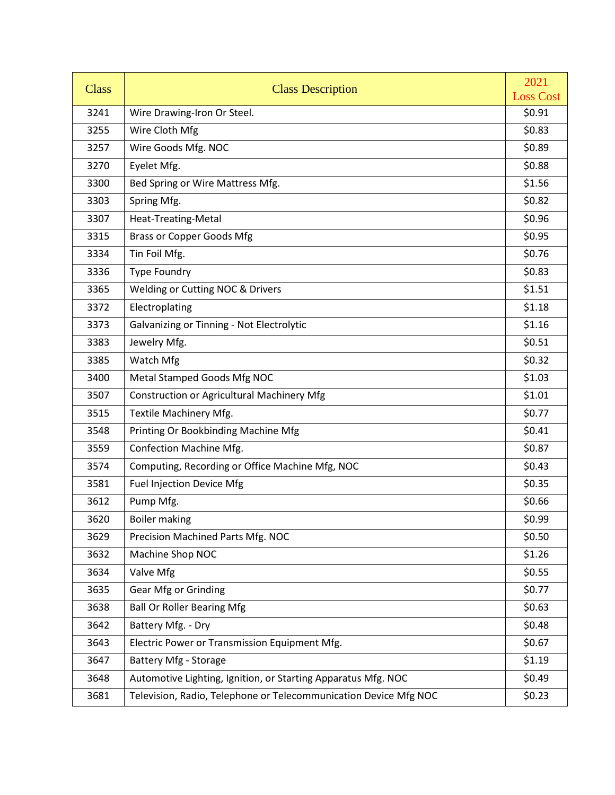| <b>Class</b> | <b>Class Description</b>                                         | 2021<br><b>Loss Cost</b> |
|--------------|------------------------------------------------------------------|--------------------------|
| 3241         | Wire Drawing-Iron Or Steel.                                      | \$0.91                   |
| 3255         | Wire Cloth Mfg                                                   | \$0.83                   |
| 3257         | Wire Goods Mfg. NOC                                              | \$0.89                   |
| 3270         | Eyelet Mfg.                                                      | \$0.88                   |
| 3300         | Bed Spring or Wire Mattress Mfg.                                 | \$1.56                   |
| 3303         | Spring Mfg.                                                      | \$0.82                   |
| 3307         | Heat-Treating-Metal                                              | \$0.96                   |
| 3315         | <b>Brass or Copper Goods Mfg</b>                                 | \$0.95                   |
| 3334         | Tin Foil Mfg.                                                    | \$0.76                   |
| 3336         | <b>Type Foundry</b>                                              | \$0.83                   |
| 3365         | Welding or Cutting NOC & Drivers                                 | \$1.51                   |
| 3372         | Electroplating                                                   | \$1.18                   |
| 3373         | Galvanizing or Tinning - Not Electrolytic                        | \$1.16                   |
| 3383         | Jewelry Mfg.                                                     | \$0.51                   |
| 3385         | Watch Mfg                                                        | \$0.32                   |
| 3400         | Metal Stamped Goods Mfg NOC                                      | \$1.03                   |
| 3507         | Construction or Agricultural Machinery Mfg                       | \$1.01                   |
| 3515         | Textile Machinery Mfg.                                           | \$0.77                   |
| 3548         | Printing Or Bookbinding Machine Mfg                              | \$0.41                   |
| 3559         | Confection Machine Mfg.                                          | \$0.87                   |
| 3574         | Computing, Recording or Office Machine Mfg, NOC                  | \$0.43                   |
| 3581         | Fuel Injection Device Mfg                                        | \$0.35                   |
| 3612         | Pump Mfg.                                                        | \$0.66                   |
| 3620         | <b>Boiler making</b>                                             | \$0.99                   |
| 3629         | Precision Machined Parts Mfg. NOC                                | \$0.50                   |
| 3632         | Machine Shop NOC                                                 | \$1.26                   |
| 3634         | Valve Mfg                                                        | \$0.55                   |
| 3635         | Gear Mfg or Grinding                                             | \$0.77                   |
| 3638         | <b>Ball Or Roller Bearing Mfg</b>                                | \$0.63                   |
| 3642         | Battery Mfg. - Dry                                               | \$0.48                   |
| 3643         | Electric Power or Transmission Equipment Mfg.                    | \$0.67                   |
| 3647         | <b>Battery Mfg - Storage</b>                                     | \$1.19                   |
| 3648         | Automotive Lighting, Ignition, or Starting Apparatus Mfg. NOC    | \$0.49                   |
| 3681         | Television, Radio, Telephone or Telecommunication Device Mfg NOC | \$0.23                   |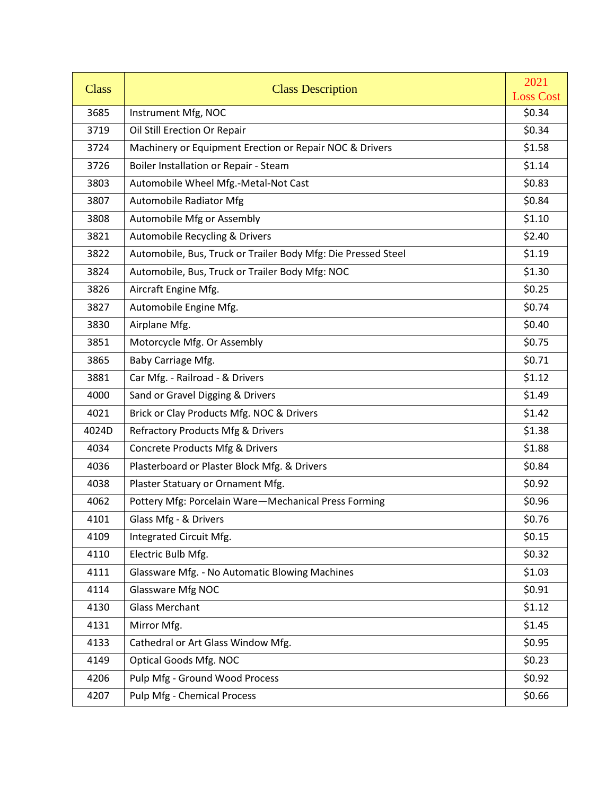| <b>Class</b> | <b>Class Description</b>                                      | 2021                       |
|--------------|---------------------------------------------------------------|----------------------------|
| 3685         | Instrument Mfg, NOC                                           | <b>Loss Cost</b><br>\$0.34 |
| 3719         | Oil Still Erection Or Repair                                  | \$0.34                     |
| 3724         | Machinery or Equipment Erection or Repair NOC & Drivers       | \$1.58                     |
| 3726         | Boiler Installation or Repair - Steam                         | \$1.14                     |
| 3803         | Automobile Wheel Mfg.-Metal-Not Cast                          | \$0.83                     |
| 3807         | <b>Automobile Radiator Mfg</b>                                | \$0.84                     |
| 3808         | Automobile Mfg or Assembly                                    | \$1.10                     |
| 3821         | <b>Automobile Recycling &amp; Drivers</b>                     | \$2.40                     |
| 3822         | Automobile, Bus, Truck or Trailer Body Mfg: Die Pressed Steel | \$1.19                     |
| 3824         | Automobile, Bus, Truck or Trailer Body Mfg: NOC               | \$1.30                     |
| 3826         | Aircraft Engine Mfg.                                          | \$0.25                     |
|              |                                                               | \$0.74                     |
| 3827         | Automobile Engine Mfg.                                        |                            |
| 3830         | Airplane Mfg.                                                 | \$0.40                     |
| 3851         | Motorcycle Mfg. Or Assembly                                   | \$0.75                     |
| 3865         | Baby Carriage Mfg.                                            | \$0.71                     |
| 3881         | Car Mfg. - Railroad - & Drivers                               | \$1.12                     |
| 4000         | Sand or Gravel Digging & Drivers                              | \$1.49                     |
| 4021         | Brick or Clay Products Mfg. NOC & Drivers                     | \$1.42                     |
| 4024D        | <b>Refractory Products Mfg &amp; Drivers</b>                  | \$1.38                     |
| 4034         | Concrete Products Mfg & Drivers                               | \$1.88                     |
| 4036         | Plasterboard or Plaster Block Mfg. & Drivers                  | \$0.84                     |
| 4038         | Plaster Statuary or Ornament Mfg.                             | \$0.92                     |
| 4062         | Pottery Mfg: Porcelain Ware-Mechanical Press Forming          | \$0.96                     |
| 4101         | Glass Mfg - & Drivers                                         | \$0.76                     |
| 4109         | Integrated Circuit Mfg.                                       | \$0.15                     |
| 4110         | Electric Bulb Mfg.                                            | \$0.32                     |
| 4111         | Glassware Mfg. - No Automatic Blowing Machines                | \$1.03                     |
| 4114         | Glassware Mfg NOC                                             | \$0.91                     |
| 4130         | <b>Glass Merchant</b>                                         | \$1.12                     |
| 4131         | Mirror Mfg.                                                   | \$1.45                     |
| 4133         | Cathedral or Art Glass Window Mfg.                            | \$0.95                     |
| 4149         | <b>Optical Goods Mfg. NOC</b>                                 | \$0.23                     |
| 4206         | Pulp Mfg - Ground Wood Process                                | \$0.92                     |
| 4207         | Pulp Mfg - Chemical Process                                   | \$0.66                     |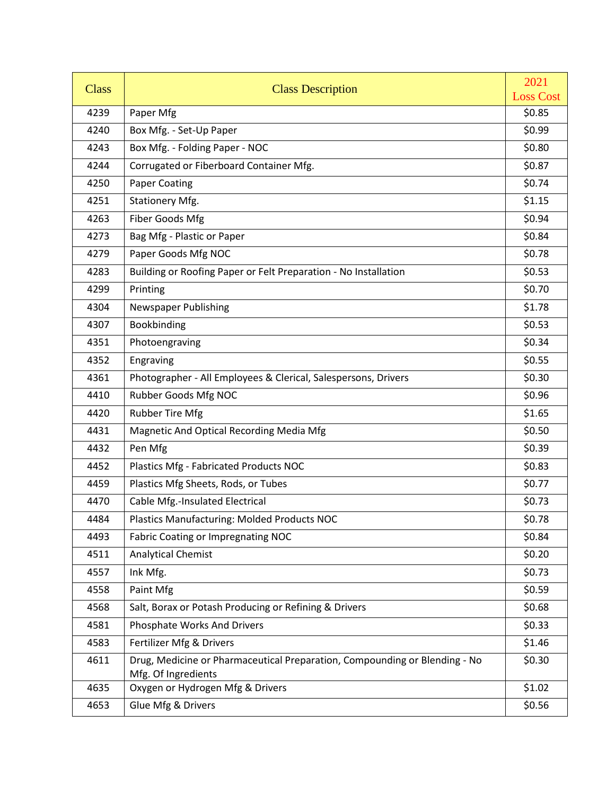| <b>Class</b> | <b>Class Description</b>                                                                          | 2021<br><b>Loss Cost</b> |
|--------------|---------------------------------------------------------------------------------------------------|--------------------------|
| 4239         | Paper Mfg                                                                                         | \$0.85                   |
| 4240         | Box Mfg. - Set-Up Paper                                                                           | \$0.99                   |
| 4243         | Box Mfg. - Folding Paper - NOC                                                                    | \$0.80                   |
| 4244         | Corrugated or Fiberboard Container Mfg.                                                           | \$0.87                   |
| 4250         | <b>Paper Coating</b>                                                                              | \$0.74                   |
| 4251         | <b>Stationery Mfg.</b>                                                                            | \$1.15                   |
| 4263         | Fiber Goods Mfg                                                                                   | \$0.94                   |
| 4273         | Bag Mfg - Plastic or Paper                                                                        | \$0.84                   |
| 4279         | Paper Goods Mfg NOC                                                                               | \$0.78                   |
| 4283         | Building or Roofing Paper or Felt Preparation - No Installation                                   | \$0.53                   |
| 4299         | Printing                                                                                          | \$0.70                   |
| 4304         | Newspaper Publishing                                                                              | \$1.78                   |
| 4307         | Bookbinding                                                                                       | \$0.53                   |
| 4351         | Photoengraving                                                                                    | \$0.34                   |
| 4352         | Engraving                                                                                         | \$0.55                   |
| 4361         | Photographer - All Employees & Clerical, Salespersons, Drivers                                    | \$0.30                   |
| 4410         | Rubber Goods Mfg NOC                                                                              | \$0.96                   |
| 4420         | <b>Rubber Tire Mfg</b>                                                                            | \$1.65                   |
| 4431         | Magnetic And Optical Recording Media Mfg                                                          | \$0.50                   |
| 4432         | Pen Mfg                                                                                           | \$0.39                   |
| 4452         | Plastics Mfg - Fabricated Products NOC                                                            | \$0.83                   |
| 4459         | Plastics Mfg Sheets, Rods, or Tubes                                                               | \$0.77                   |
| 4470         | Cable Mfg.-Insulated Electrical                                                                   | \$0.73                   |
| 4484         | Plastics Manufacturing: Molded Products NOC                                                       | \$0.78                   |
| 4493         | Fabric Coating or Impregnating NOC                                                                | \$0.84                   |
| 4511         | <b>Analytical Chemist</b>                                                                         | \$0.20                   |
| 4557         | Ink Mfg.                                                                                          | \$0.73                   |
| 4558         | Paint Mfg                                                                                         | \$0.59                   |
| 4568         | Salt, Borax or Potash Producing or Refining & Drivers                                             | \$0.68                   |
| 4581         | Phosphate Works And Drivers                                                                       | \$0.33                   |
| 4583         | Fertilizer Mfg & Drivers                                                                          | \$1.46                   |
| 4611         | Drug, Medicine or Pharmaceutical Preparation, Compounding or Blending - No<br>Mfg. Of Ingredients | \$0.30                   |
| 4635         | Oxygen or Hydrogen Mfg & Drivers                                                                  | \$1.02                   |
| 4653         | Glue Mfg & Drivers                                                                                | \$0.56                   |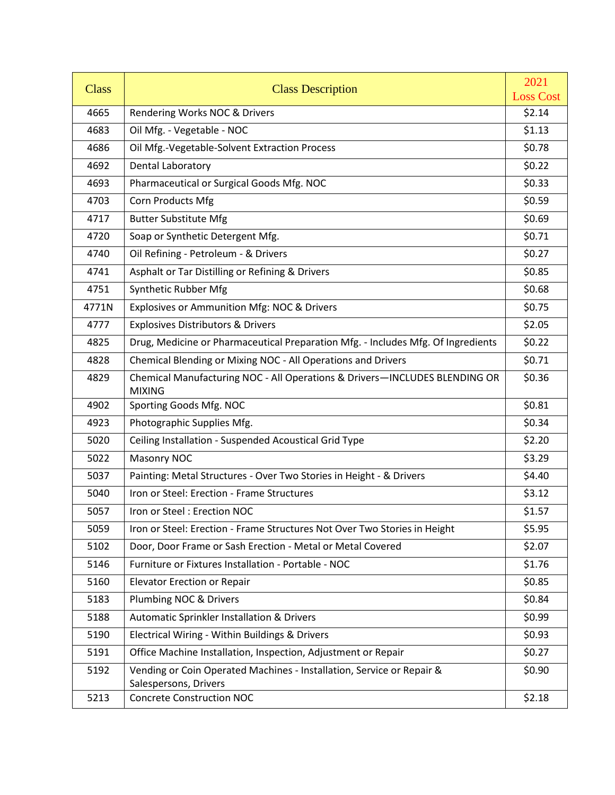| <b>Class</b> | <b>Class Description</b>                                                                       | 2021<br><b>Loss Cost</b> |
|--------------|------------------------------------------------------------------------------------------------|--------------------------|
| 4665         | Rendering Works NOC & Drivers                                                                  | \$2.14                   |
| 4683         | Oil Mfg. - Vegetable - NOC                                                                     | \$1.13                   |
| 4686         | Oil Mfg.-Vegetable-Solvent Extraction Process                                                  | \$0.78                   |
| 4692         | Dental Laboratory                                                                              | \$0.22                   |
| 4693         | Pharmaceutical or Surgical Goods Mfg. NOC                                                      | \$0.33                   |
| 4703         | <b>Corn Products Mfg</b>                                                                       | \$0.59                   |
| 4717         | <b>Butter Substitute Mfg</b>                                                                   | \$0.69                   |
| 4720         | Soap or Synthetic Detergent Mfg.                                                               | \$0.71                   |
| 4740         | Oil Refining - Petroleum - & Drivers                                                           | \$0.27                   |
| 4741         | Asphalt or Tar Distilling or Refining & Drivers                                                | \$0.85                   |
| 4751         | <b>Synthetic Rubber Mfg</b>                                                                    | \$0.68                   |
| 4771N        | Explosives or Ammunition Mfg: NOC & Drivers                                                    | \$0.75                   |
| 4777         | <b>Explosives Distributors &amp; Drivers</b>                                                   | \$2.05                   |
| 4825         | Drug, Medicine or Pharmaceutical Preparation Mfg. - Includes Mfg. Of Ingredients               | \$0.22                   |
| 4828         | Chemical Blending or Mixing NOC - All Operations and Drivers                                   | \$0.71                   |
| 4829         | Chemical Manufacturing NOC - All Operations & Drivers-INCLUDES BLENDING OR<br><b>MIXING</b>    | \$0.36                   |
| 4902         | Sporting Goods Mfg. NOC                                                                        | \$0.81                   |
| 4923         | Photographic Supplies Mfg.                                                                     | \$0.34                   |
| 5020         | Ceiling Installation - Suspended Acoustical Grid Type                                          | \$2.20                   |
| 5022         | Masonry NOC                                                                                    | \$3.29                   |
| 5037         | Painting: Metal Structures - Over Two Stories in Height - & Drivers                            | \$4.40                   |
| 5040         | Iron or Steel: Erection - Frame Structures                                                     | \$3.12                   |
| 5057         | Iron or Steel: Erection NOC                                                                    | \$1.57                   |
| 5059         | Iron or Steel: Erection - Frame Structures Not Over Two Stories in Height                      | \$5.95                   |
| 5102         | Door, Door Frame or Sash Erection - Metal or Metal Covered                                     | \$2.07                   |
| 5146         | Furniture or Fixtures Installation - Portable - NOC                                            | \$1.76                   |
| 5160         | <b>Elevator Erection or Repair</b>                                                             | \$0.85                   |
| 5183         | Plumbing NOC & Drivers                                                                         | \$0.84                   |
| 5188         | Automatic Sprinkler Installation & Drivers                                                     | \$0.99                   |
| 5190         | Electrical Wiring - Within Buildings & Drivers                                                 | \$0.93                   |
| 5191         | Office Machine Installation, Inspection, Adjustment or Repair                                  | \$0.27                   |
| 5192         | Vending or Coin Operated Machines - Installation, Service or Repair &<br>Salespersons, Drivers | \$0.90                   |
| 5213         | <b>Concrete Construction NOC</b>                                                               | \$2.18                   |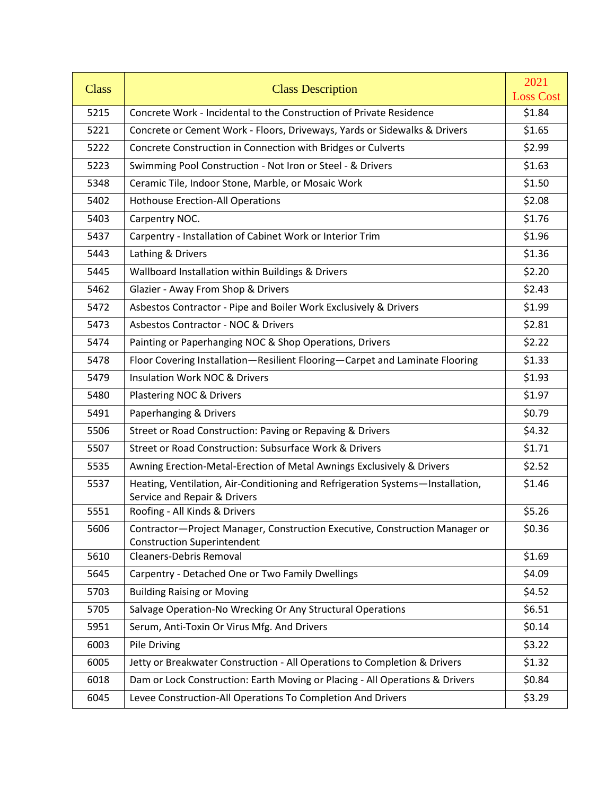| <b>Class</b> | <b>Class Description</b>                                                                                          | 2021<br><b>Loss Cost</b> |
|--------------|-------------------------------------------------------------------------------------------------------------------|--------------------------|
| 5215         | Concrete Work - Incidental to the Construction of Private Residence                                               | \$1.84                   |
| 5221         | Concrete or Cement Work - Floors, Driveways, Yards or Sidewalks & Drivers                                         | \$1.65                   |
| 5222         | Concrete Construction in Connection with Bridges or Culverts                                                      | \$2.99                   |
| 5223         | Swimming Pool Construction - Not Iron or Steel - & Drivers                                                        | \$1.63                   |
| 5348         | Ceramic Tile, Indoor Stone, Marble, or Mosaic Work                                                                | \$1.50                   |
| 5402         | <b>Hothouse Erection-All Operations</b>                                                                           | \$2.08                   |
| 5403         | Carpentry NOC.                                                                                                    | \$1.76                   |
| 5437         | Carpentry - Installation of Cabinet Work or Interior Trim                                                         | \$1.96                   |
| 5443         | Lathing & Drivers                                                                                                 | \$1.36                   |
| 5445         | Wallboard Installation within Buildings & Drivers                                                                 | \$2.20                   |
| 5462         | Glazier - Away From Shop & Drivers                                                                                | \$2.43                   |
| 5472         | Asbestos Contractor - Pipe and Boiler Work Exclusively & Drivers                                                  | \$1.99                   |
| 5473         | <b>Asbestos Contractor - NOC &amp; Drivers</b>                                                                    | \$2.81                   |
| 5474         | Painting or Paperhanging NOC & Shop Operations, Drivers                                                           | \$2.22                   |
| 5478         | Floor Covering Installation-Resilient Flooring-Carpet and Laminate Flooring                                       | \$1.33                   |
| 5479         | <b>Insulation Work NOC &amp; Drivers</b>                                                                          | \$1.93                   |
| 5480         | Plastering NOC & Drivers                                                                                          | \$1.97                   |
| 5491         | Paperhanging & Drivers                                                                                            | \$0.79                   |
| 5506         | Street or Road Construction: Paving or Repaving & Drivers                                                         | \$4.32                   |
| 5507         | Street or Road Construction: Subsurface Work & Drivers                                                            | \$1.71                   |
| 5535         | Awning Erection-Metal-Erection of Metal Awnings Exclusively & Drivers                                             | \$2.52                   |
| 5537         | Heating, Ventilation, Air-Conditioning and Refrigeration Systems-Installation,<br>Service and Repair & Drivers    | \$1.46                   |
| 5551         | Roofing - All Kinds & Drivers                                                                                     | \$5.26                   |
| 5606         | Contractor-Project Manager, Construction Executive, Construction Manager or<br><b>Construction Superintendent</b> | \$0.36                   |
| 5610         | Cleaners-Debris Removal                                                                                           | \$1.69                   |
| 5645         | Carpentry - Detached One or Two Family Dwellings                                                                  | \$4.09                   |
| 5703         | <b>Building Raising or Moving</b>                                                                                 | \$4.52                   |
| 5705         | Salvage Operation-No Wrecking Or Any Structural Operations                                                        | \$6.51                   |
| 5951         | Serum, Anti-Toxin Or Virus Mfg. And Drivers                                                                       | \$0.14                   |
| 6003         | Pile Driving                                                                                                      | \$3.22                   |
| 6005         | Jetty or Breakwater Construction - All Operations to Completion & Drivers                                         | \$1.32                   |
| 6018         | Dam or Lock Construction: Earth Moving or Placing - All Operations & Drivers                                      | \$0.84                   |
| 6045         | Levee Construction-All Operations To Completion And Drivers                                                       | \$3.29                   |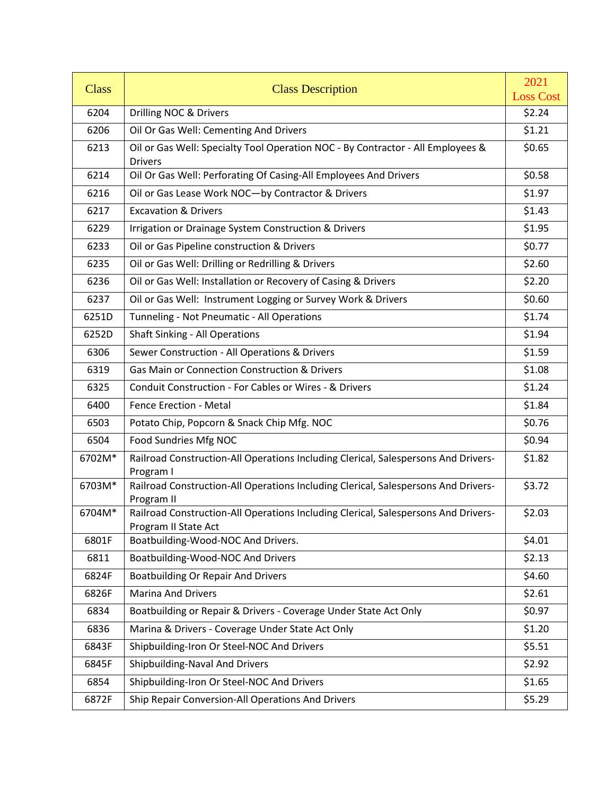| <b>Class</b> | <b>Class Description</b>                                                                                   | 2021<br><b>Loss Cost</b> |
|--------------|------------------------------------------------------------------------------------------------------------|--------------------------|
| 6204         | Drilling NOC & Drivers                                                                                     | \$2.24                   |
| 6206         | Oil Or Gas Well: Cementing And Drivers                                                                     | \$1.21                   |
| 6213         |                                                                                                            | \$0.65                   |
|              | Oil or Gas Well: Specialty Tool Operation NOC - By Contractor - All Employees &<br><b>Drivers</b>          |                          |
| 6214         | Oil Or Gas Well: Perforating Of Casing-All Employees And Drivers                                           | \$0.58                   |
| 6216         | Oil or Gas Lease Work NOC-by Contractor & Drivers                                                          | \$1.97                   |
| 6217         | <b>Excavation &amp; Drivers</b>                                                                            | \$1.43                   |
| 6229         | Irrigation or Drainage System Construction & Drivers                                                       | \$1.95                   |
| 6233         | Oil or Gas Pipeline construction & Drivers                                                                 | \$0.77                   |
| 6235         | Oil or Gas Well: Drilling or Redrilling & Drivers                                                          | \$2.60                   |
| 6236         | Oil or Gas Well: Installation or Recovery of Casing & Drivers                                              | \$2.20                   |
| 6237         | Oil or Gas Well: Instrument Logging or Survey Work & Drivers                                               | \$0.60                   |
| 6251D        | Tunneling - Not Pneumatic - All Operations                                                                 | \$1.74                   |
| 6252D        | <b>Shaft Sinking - All Operations</b>                                                                      | \$1.94                   |
| 6306         | Sewer Construction - All Operations & Drivers                                                              | \$1.59                   |
| 6319         | Gas Main or Connection Construction & Drivers                                                              | \$1.08                   |
| 6325         | Conduit Construction - For Cables or Wires - & Drivers                                                     | \$1.24                   |
| 6400         | Fence Erection - Metal                                                                                     | \$1.84                   |
| 6503         | Potato Chip, Popcorn & Snack Chip Mfg. NOC                                                                 | \$0.76                   |
| 6504         | Food Sundries Mfg NOC                                                                                      | \$0.94                   |
| 6702M*       | Railroad Construction-All Operations Including Clerical, Salespersons And Drivers-<br>Program I            | \$1.82                   |
| 6703M*       | Railroad Construction-All Operations Including Clerical, Salespersons And Drivers-<br>Program II           | \$3.72                   |
| 6704M*       | Railroad Construction-All Operations Including Clerical, Salespersons And Drivers-<br>Program II State Act | \$2.03                   |
| 6801F        | Boatbuilding-Wood-NOC And Drivers.                                                                         | \$4.01                   |
| 6811         | Boatbuilding-Wood-NOC And Drivers                                                                          | \$2.13                   |
| 6824F        | <b>Boatbuilding Or Repair And Drivers</b>                                                                  | \$4.60                   |
| 6826F        | <b>Marina And Drivers</b>                                                                                  | \$2.61                   |
| 6834         | Boatbuilding or Repair & Drivers - Coverage Under State Act Only                                           | \$0.97                   |
| 6836         | Marina & Drivers - Coverage Under State Act Only                                                           | \$1.20                   |
| 6843F        | Shipbuilding-Iron Or Steel-NOC And Drivers                                                                 | \$5.51                   |
| 6845F        | Shipbuilding-Naval And Drivers                                                                             | \$2.92                   |
| 6854         | Shipbuilding-Iron Or Steel-NOC And Drivers                                                                 | \$1.65                   |
| 6872F        | Ship Repair Conversion-All Operations And Drivers                                                          | \$5.29                   |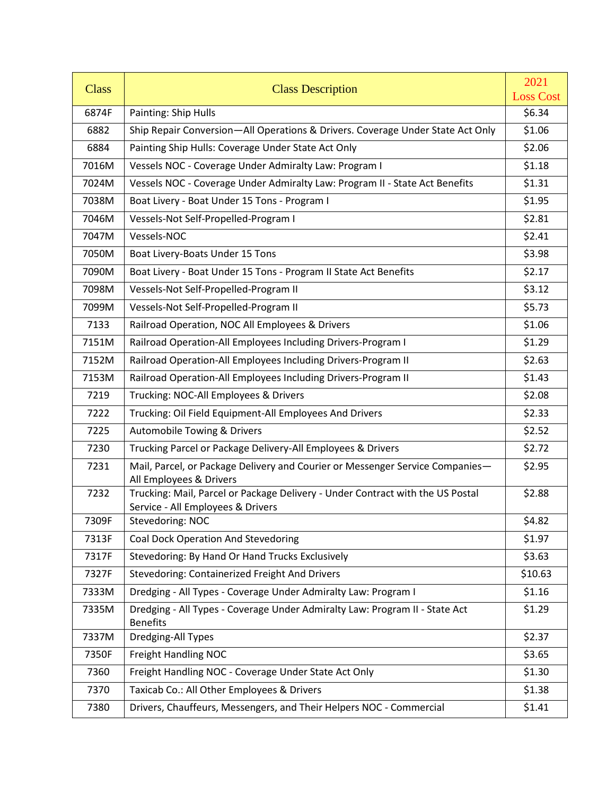| <b>Class</b> | <b>Class Description</b>                                                                                                             | 2021<br><b>Loss Cost</b> |
|--------------|--------------------------------------------------------------------------------------------------------------------------------------|--------------------------|
| 6874F        | Painting: Ship Hulls                                                                                                                 | \$6.34                   |
| 6882         | Ship Repair Conversion-All Operations & Drivers. Coverage Under State Act Only                                                       | \$1.06                   |
| 6884         | Painting Ship Hulls: Coverage Under State Act Only                                                                                   | \$2.06                   |
| 7016M        |                                                                                                                                      | \$1.18                   |
| 7024M        | Vessels NOC - Coverage Under Admiralty Law: Program I<br>Vessels NOC - Coverage Under Admiralty Law: Program II - State Act Benefits | \$1.31                   |
|              |                                                                                                                                      |                          |
| 7038M        | Boat Livery - Boat Under 15 Tons - Program I                                                                                         | \$1.95                   |
| 7046M        | Vessels-Not Self-Propelled-Program I                                                                                                 | \$2.81                   |
| 7047M        | Vessels-NOC                                                                                                                          | \$2.41                   |
| 7050M        | Boat Livery-Boats Under 15 Tons                                                                                                      | \$3.98                   |
| 7090M        | Boat Livery - Boat Under 15 Tons - Program II State Act Benefits                                                                     | \$2.17                   |
| 7098M        | Vessels-Not Self-Propelled-Program II                                                                                                | \$3.12                   |
| 7099M        | Vessels-Not Self-Propelled-Program II                                                                                                | \$5.73                   |
| 7133         | Railroad Operation, NOC All Employees & Drivers                                                                                      | \$1.06                   |
| 7151M        | Railroad Operation-All Employees Including Drivers-Program I                                                                         | \$1.29                   |
| 7152M        | Railroad Operation-All Employees Including Drivers-Program II                                                                        | \$2.63                   |
| 7153M        | Railroad Operation-All Employees Including Drivers-Program II                                                                        | \$1.43                   |
| 7219         | Trucking: NOC-All Employees & Drivers                                                                                                | \$2.08                   |
| 7222         | Trucking: Oil Field Equipment-All Employees And Drivers                                                                              | \$2.33                   |
| 7225         | <b>Automobile Towing &amp; Drivers</b>                                                                                               | \$2.52                   |
| 7230         | Trucking Parcel or Package Delivery-All Employees & Drivers                                                                          | \$2.72                   |
| 7231         | Mail, Parcel, or Package Delivery and Courier or Messenger Service Companies-<br>All Employees & Drivers                             | \$2.95                   |
| 7232         | Trucking: Mail, Parcel or Package Delivery - Under Contract with the US Postal<br>Service - All Employees & Drivers                  | \$2.88                   |
| 7309F        | Stevedoring: NOC                                                                                                                     | \$4.82                   |
| 7313F        | <b>Coal Dock Operation And Stevedoring</b>                                                                                           | \$1.97                   |
| 7317F        | Stevedoring: By Hand Or Hand Trucks Exclusively                                                                                      | \$3.63                   |
| 7327F        | Stevedoring: Containerized Freight And Drivers                                                                                       | \$10.63                  |
| 7333M        | Dredging - All Types - Coverage Under Admiralty Law: Program I                                                                       | \$1.16                   |
| 7335M        | Dredging - All Types - Coverage Under Admiralty Law: Program II - State Act<br><b>Benefits</b>                                       | \$1.29                   |
| 7337M        | Dredging-All Types                                                                                                                   | \$2.37                   |
| 7350F        | Freight Handling NOC                                                                                                                 | \$3.65                   |
| 7360         | Freight Handling NOC - Coverage Under State Act Only                                                                                 | \$1.30                   |
| 7370         | Taxicab Co.: All Other Employees & Drivers                                                                                           | \$1.38                   |
| 7380         | Drivers, Chauffeurs, Messengers, and Their Helpers NOC - Commercial                                                                  | \$1.41                   |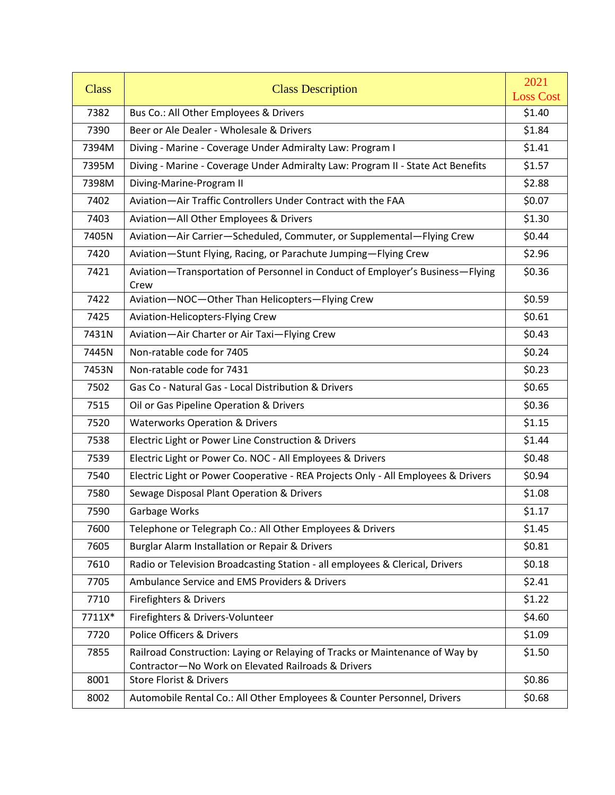| <b>Class</b> | <b>Class Description</b>                                                                                                           | 2021<br><b>Loss Cost</b> |
|--------------|------------------------------------------------------------------------------------------------------------------------------------|--------------------------|
| 7382         | Bus Co.: All Other Employees & Drivers                                                                                             | \$1.40                   |
| 7390         | Beer or Ale Dealer - Wholesale & Drivers                                                                                           | \$1.84                   |
| 7394M        | Diving - Marine - Coverage Under Admiralty Law: Program I                                                                          | \$1.41                   |
| 7395M        | Diving - Marine - Coverage Under Admiralty Law: Program II - State Act Benefits                                                    | \$1.57                   |
| 7398M        | Diving-Marine-Program II                                                                                                           | \$2.88                   |
| 7402         | Aviation-Air Traffic Controllers Under Contract with the FAA                                                                       | \$0.07                   |
| 7403         | Aviation-All Other Employees & Drivers                                                                                             | \$1.30                   |
| 7405N        | Aviation-Air Carrier-Scheduled, Commuter, or Supplemental-Flying Crew                                                              | \$0.44                   |
| 7420         | Aviation-Stunt Flying, Racing, or Parachute Jumping-Flying Crew                                                                    | \$2.96                   |
| 7421         |                                                                                                                                    | \$0.36                   |
|              | Aviation-Transportation of Personnel in Conduct of Employer's Business-Flying<br>Crew                                              |                          |
| 7422         | Aviation-NOC-Other Than Helicopters-Flying Crew                                                                                    | \$0.59                   |
| 7425         | Aviation-Helicopters-Flying Crew                                                                                                   | \$0.61                   |
| 7431N        | Aviation-Air Charter or Air Taxi-Flying Crew                                                                                       | \$0.43                   |
| 7445N        | Non-ratable code for 7405                                                                                                          | \$0.24                   |
| 7453N        | Non-ratable code for 7431                                                                                                          | \$0.23                   |
| 7502         | Gas Co - Natural Gas - Local Distribution & Drivers                                                                                | \$0.65                   |
| 7515         | Oil or Gas Pipeline Operation & Drivers                                                                                            | \$0.36                   |
| 7520         | <b>Waterworks Operation &amp; Drivers</b>                                                                                          | \$1.15                   |
| 7538         | Electric Light or Power Line Construction & Drivers                                                                                | \$1.44                   |
| 7539         | Electric Light or Power Co. NOC - All Employees & Drivers                                                                          | \$0.48                   |
| 7540         | Electric Light or Power Cooperative - REA Projects Only - All Employees & Drivers                                                  | \$0.94                   |
| 7580         | Sewage Disposal Plant Operation & Drivers                                                                                          | \$1.08                   |
| 7590         | Garbage Works                                                                                                                      | \$1.17                   |
| 7600         | Telephone or Telegraph Co.: All Other Employees & Drivers                                                                          | \$1.45                   |
| 7605         | Burglar Alarm Installation or Repair & Drivers                                                                                     | \$0.81                   |
| 7610         | Radio or Television Broadcasting Station - all employees & Clerical, Drivers                                                       | \$0.18                   |
| 7705         | Ambulance Service and EMS Providers & Drivers                                                                                      | \$2.41                   |
| 7710         | Firefighters & Drivers                                                                                                             | \$1.22                   |
| 7711X*       | Firefighters & Drivers-Volunteer                                                                                                   | \$4.60                   |
| 7720         | <b>Police Officers &amp; Drivers</b>                                                                                               | \$1.09                   |
| 7855         | Railroad Construction: Laying or Relaying of Tracks or Maintenance of Way by<br>Contractor-No Work on Elevated Railroads & Drivers | \$1.50                   |
| 8001         | Store Florist & Drivers                                                                                                            | \$0.86                   |
| 8002         | Automobile Rental Co.: All Other Employees & Counter Personnel, Drivers                                                            | \$0.68                   |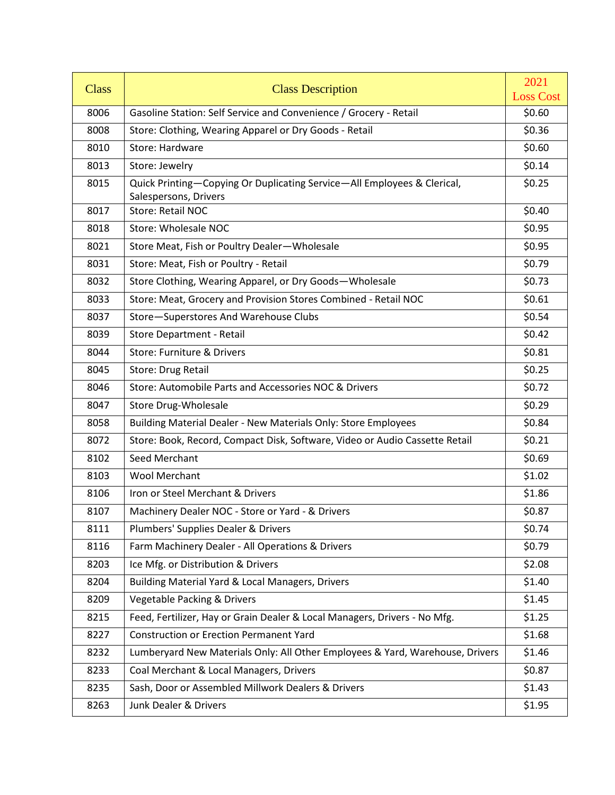| <b>Class</b> | <b>Class Description</b>                                                      | 2021<br><b>Loss Cost</b> |
|--------------|-------------------------------------------------------------------------------|--------------------------|
| 8006         | Gasoline Station: Self Service and Convenience / Grocery - Retail             | \$0.60                   |
| 8008         | Store: Clothing, Wearing Apparel or Dry Goods - Retail                        | \$0.36                   |
| 8010         | Store: Hardware                                                               | \$0.60                   |
| 8013         | Store: Jewelry                                                                | \$0.14                   |
| 8015         | Quick Printing-Copying Or Duplicating Service-All Employees & Clerical,       | \$0.25                   |
|              | Salespersons, Drivers                                                         |                          |
| 8017         | Store: Retail NOC                                                             | \$0.40                   |
| 8018         | Store: Wholesale NOC                                                          | \$0.95                   |
| 8021         | Store Meat, Fish or Poultry Dealer-Wholesale                                  | \$0.95                   |
| 8031         | Store: Meat, Fish or Poultry - Retail                                         | \$0.79                   |
| 8032         | Store Clothing, Wearing Apparel, or Dry Goods-Wholesale                       | \$0.73                   |
| 8033         | Store: Meat, Grocery and Provision Stores Combined - Retail NOC               | \$0.61                   |
| 8037         | Store-Superstores And Warehouse Clubs                                         | \$0.54                   |
| 8039         | Store Department - Retail                                                     | \$0.42                   |
| 8044         | Store: Furniture & Drivers                                                    | \$0.81                   |
| 8045         | Store: Drug Retail                                                            | \$0.25                   |
| 8046         | Store: Automobile Parts and Accessories NOC & Drivers                         | \$0.72                   |
| 8047         | Store Drug-Wholesale                                                          | \$0.29                   |
| 8058         | Building Material Dealer - New Materials Only: Store Employees                | \$0.84                   |
| 8072         | Store: Book, Record, Compact Disk, Software, Video or Audio Cassette Retail   | \$0.21                   |
| 8102         | Seed Merchant                                                                 | \$0.69                   |
| 8103         | <b>Wool Merchant</b>                                                          | \$1.02                   |
| 8106         | Iron or Steel Merchant & Drivers                                              | \$1.86                   |
| 8107         | Machinery Dealer NOC - Store or Yard - & Drivers                              | \$0.87                   |
| 8111         | Plumbers' Supplies Dealer & Drivers                                           | \$0.74                   |
| 8116         | Farm Machinery Dealer - All Operations & Drivers                              | \$0.79                   |
| 8203         | Ice Mfg. or Distribution & Drivers                                            | \$2.08                   |
| 8204         | Building Material Yard & Local Managers, Drivers                              | \$1.40                   |
| 8209         | Vegetable Packing & Drivers                                                   | \$1.45                   |
| 8215         | Feed, Fertilizer, Hay or Grain Dealer & Local Managers, Drivers - No Mfg.     | \$1.25                   |
| 8227         | <b>Construction or Erection Permanent Yard</b>                                | \$1.68                   |
| 8232         | Lumberyard New Materials Only: All Other Employees & Yard, Warehouse, Drivers | \$1.46                   |
| 8233         | Coal Merchant & Local Managers, Drivers                                       | \$0.87                   |
| 8235         | Sash, Door or Assembled Millwork Dealers & Drivers                            | \$1.43                   |
| 8263         | Junk Dealer & Drivers                                                         | \$1.95                   |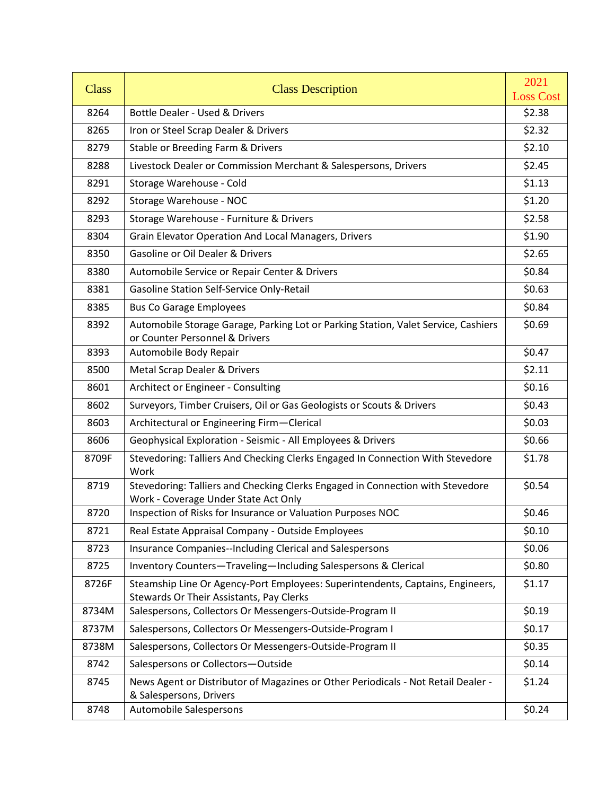| <b>Class</b> | <b>Class Description</b>                                                                                                   | 2021             |
|--------------|----------------------------------------------------------------------------------------------------------------------------|------------------|
| 8264         | Bottle Dealer - Used & Drivers                                                                                             | <b>Loss Cost</b> |
|              |                                                                                                                            | \$2.38           |
| 8265         | Iron or Steel Scrap Dealer & Drivers                                                                                       | \$2.32           |
| 8279         | Stable or Breeding Farm & Drivers                                                                                          | \$2.10           |
| 8288         | Livestock Dealer or Commission Merchant & Salespersons, Drivers                                                            | \$2.45           |
| 8291         | Storage Warehouse - Cold                                                                                                   | \$1.13           |
| 8292         | Storage Warehouse - NOC                                                                                                    | \$1.20           |
| 8293         | Storage Warehouse - Furniture & Drivers                                                                                    | \$2.58           |
| 8304         | Grain Elevator Operation And Local Managers, Drivers                                                                       | \$1.90           |
| 8350         | Gasoline or Oil Dealer & Drivers                                                                                           | \$2.65           |
| 8380         | Automobile Service or Repair Center & Drivers                                                                              | \$0.84           |
| 8381         | Gasoline Station Self-Service Only-Retail                                                                                  | \$0.63           |
| 8385         | <b>Bus Co Garage Employees</b>                                                                                             | \$0.84           |
| 8392         | Automobile Storage Garage, Parking Lot or Parking Station, Valet Service, Cashiers<br>or Counter Personnel & Drivers       | \$0.69           |
| 8393         | Automobile Body Repair                                                                                                     | \$0.47           |
| 8500         | Metal Scrap Dealer & Drivers                                                                                               | \$2.11           |
| 8601         | Architect or Engineer - Consulting                                                                                         | \$0.16           |
| 8602         | Surveyors, Timber Cruisers, Oil or Gas Geologists or Scouts & Drivers                                                      | \$0.43           |
| 8603         | Architectural or Engineering Firm-Clerical                                                                                 | \$0.03           |
| 8606         | Geophysical Exploration - Seismic - All Employees & Drivers                                                                | \$0.66           |
| 8709F        | Stevedoring: Talliers And Checking Clerks Engaged In Connection With Stevedore<br>Work                                     | \$1.78           |
| 8719         | Stevedoring: Talliers and Checking Clerks Engaged in Connection with Stevedore<br>Work - Coverage Under State Act Only     | \$0.54           |
| 8720         | Inspection of Risks for Insurance or Valuation Purposes NOC                                                                | \$0.46           |
| 8721         | Real Estate Appraisal Company - Outside Employees                                                                          | \$0.10           |
| 8723         | Insurance Companies--Including Clerical and Salespersons                                                                   | \$0.06           |
| 8725         | Inventory Counters-Traveling-Including Salespersons & Clerical                                                             | \$0.80           |
| 8726F        | Steamship Line Or Agency-Port Employees: Superintendents, Captains, Engineers,<br>Stewards Or Their Assistants, Pay Clerks | \$1.17           |
| 8734M        | Salespersons, Collectors Or Messengers-Outside-Program II                                                                  | \$0.19           |
| 8737M        | Salespersons, Collectors Or Messengers-Outside-Program I                                                                   | \$0.17           |
| 8738M        | Salespersons, Collectors Or Messengers-Outside-Program II                                                                  | \$0.35           |
| 8742         | Salespersons or Collectors-Outside                                                                                         | \$0.14           |
| 8745         | News Agent or Distributor of Magazines or Other Periodicals - Not Retail Dealer -<br>& Salespersons, Drivers               | \$1.24           |
| 8748         | Automobile Salespersons                                                                                                    | \$0.24           |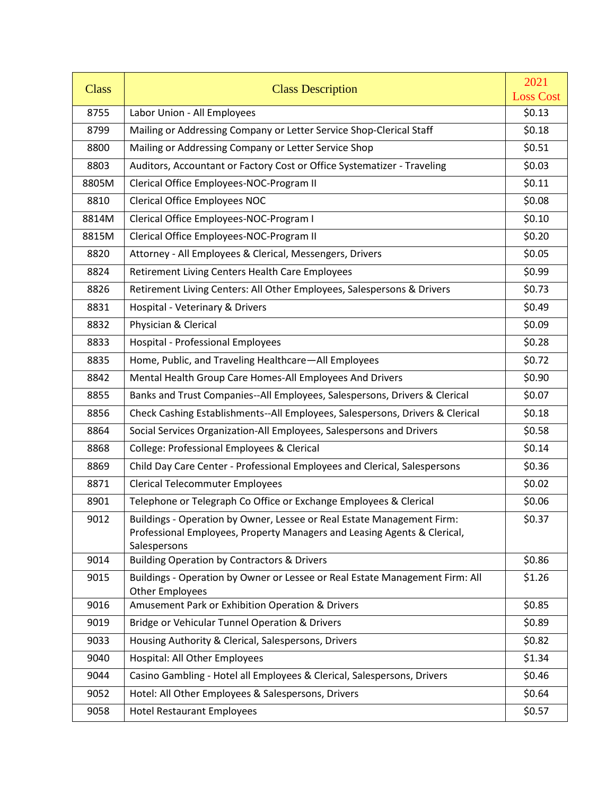| <b>Class</b> | <b>Class Description</b>                                                                                                                                           | 2021<br><b>Loss Cost</b> |
|--------------|--------------------------------------------------------------------------------------------------------------------------------------------------------------------|--------------------------|
| 8755         | Labor Union - All Employees                                                                                                                                        | \$0.13                   |
| 8799         | Mailing or Addressing Company or Letter Service Shop-Clerical Staff                                                                                                | \$0.18                   |
| 8800         | Mailing or Addressing Company or Letter Service Shop                                                                                                               | \$0.51                   |
| 8803         | Auditors, Accountant or Factory Cost or Office Systematizer - Traveling                                                                                            | \$0.03                   |
| 8805M        | Clerical Office Employees-NOC-Program II                                                                                                                           | \$0.11                   |
| 8810         | <b>Clerical Office Employees NOC</b>                                                                                                                               | \$0.08                   |
| 8814M        | Clerical Office Employees-NOC-Program I                                                                                                                            | \$0.10                   |
| 8815M        | Clerical Office Employees-NOC-Program II                                                                                                                           | \$0.20                   |
| 8820         | Attorney - All Employees & Clerical, Messengers, Drivers                                                                                                           | \$0.05                   |
| 8824         | Retirement Living Centers Health Care Employees                                                                                                                    | \$0.99                   |
| 8826         | Retirement Living Centers: All Other Employees, Salespersons & Drivers                                                                                             | \$0.73                   |
| 8831         | Hospital - Veterinary & Drivers                                                                                                                                    | \$0.49                   |
| 8832         | Physician & Clerical                                                                                                                                               | \$0.09                   |
| 8833         | Hospital - Professional Employees                                                                                                                                  | \$0.28                   |
| 8835         | Home, Public, and Traveling Healthcare-All Employees                                                                                                               | \$0.72                   |
| 8842         | Mental Health Group Care Homes-All Employees And Drivers                                                                                                           | \$0.90                   |
| 8855         | Banks and Trust Companies--All Employees, Salespersons, Drivers & Clerical                                                                                         | \$0.07                   |
| 8856         | Check Cashing Establishments--All Employees, Salespersons, Drivers & Clerical                                                                                      | \$0.18                   |
| 8864         | Social Services Organization-All Employees, Salespersons and Drivers                                                                                               | \$0.58                   |
| 8868         | College: Professional Employees & Clerical                                                                                                                         | \$0.14                   |
| 8869         | Child Day Care Center - Professional Employees and Clerical, Salespersons                                                                                          | \$0.36                   |
| 8871         | <b>Clerical Telecommuter Employees</b>                                                                                                                             | \$0.02                   |
| 8901         | Telephone or Telegraph Co Office or Exchange Employees & Clerical                                                                                                  | \$0.06                   |
| 9012         | Buildings - Operation by Owner, Lessee or Real Estate Management Firm:<br>Professional Employees, Property Managers and Leasing Agents & Clerical,<br>Salespersons | \$0.37                   |
| 9014         | <b>Building Operation by Contractors &amp; Drivers</b>                                                                                                             | \$0.86                   |
| 9015         | Buildings - Operation by Owner or Lessee or Real Estate Management Firm: All<br><b>Other Employees</b>                                                             | \$1.26                   |
| 9016         | Amusement Park or Exhibition Operation & Drivers                                                                                                                   | \$0.85                   |
| 9019         | Bridge or Vehicular Tunnel Operation & Drivers                                                                                                                     | \$0.89                   |
| 9033         | Housing Authority & Clerical, Salespersons, Drivers                                                                                                                | \$0.82                   |
| 9040         | Hospital: All Other Employees                                                                                                                                      | \$1.34                   |
| 9044         | Casino Gambling - Hotel all Employees & Clerical, Salespersons, Drivers                                                                                            | \$0.46                   |
| 9052         | Hotel: All Other Employees & Salespersons, Drivers                                                                                                                 | \$0.64                   |
| 9058         | <b>Hotel Restaurant Employees</b>                                                                                                                                  | \$0.57                   |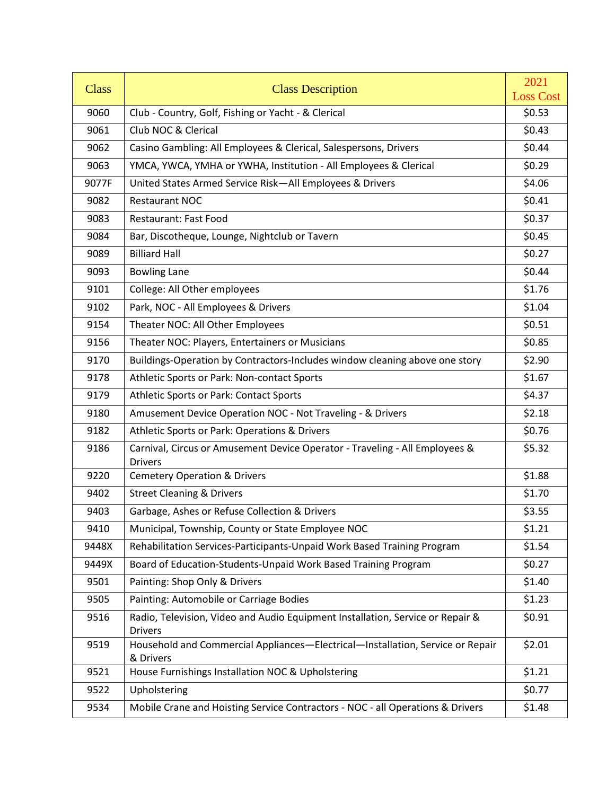| <b>Class</b> | <b>Class Description</b>                                                                         | 2021<br><b>Loss Cost</b> |
|--------------|--------------------------------------------------------------------------------------------------|--------------------------|
| 9060         | Club - Country, Golf, Fishing or Yacht - & Clerical                                              | \$0.53                   |
| 9061         | Club NOC & Clerical                                                                              | \$0.43                   |
| 9062         | Casino Gambling: All Employees & Clerical, Salespersons, Drivers                                 | \$0.44                   |
| 9063         | YMCA, YWCA, YMHA or YWHA, Institution - All Employees & Clerical                                 | \$0.29                   |
| 9077F        | United States Armed Service Risk-All Employees & Drivers                                         | \$4.06                   |
|              |                                                                                                  |                          |
| 9082         | <b>Restaurant NOC</b>                                                                            | \$0.41                   |
| 9083         | Restaurant: Fast Food                                                                            | \$0.37                   |
| 9084         | Bar, Discotheque, Lounge, Nightclub or Tavern                                                    | \$0.45                   |
| 9089         | <b>Billiard Hall</b>                                                                             | \$0.27                   |
| 9093         | <b>Bowling Lane</b>                                                                              | \$0.44                   |
| 9101         | College: All Other employees                                                                     | \$1.76                   |
| 9102         | Park, NOC - All Employees & Drivers                                                              | \$1.04                   |
| 9154         | Theater NOC: All Other Employees                                                                 | \$0.51                   |
| 9156         | Theater NOC: Players, Entertainers or Musicians                                                  | \$0.85                   |
| 9170         | Buildings-Operation by Contractors-Includes window cleaning above one story                      | \$2.90                   |
| 9178         | Athletic Sports or Park: Non-contact Sports                                                      | \$1.67                   |
| 9179         | Athletic Sports or Park: Contact Sports                                                          | \$4.37                   |
| 9180         | Amusement Device Operation NOC - Not Traveling - & Drivers                                       | \$2.18                   |
| 9182         | Athletic Sports or Park: Operations & Drivers                                                    | \$0.76                   |
| 9186         | Carnival, Circus or Amusement Device Operator - Traveling - All Employees &<br><b>Drivers</b>    | \$5.32                   |
| 9220         | <b>Cemetery Operation &amp; Drivers</b>                                                          | \$1.88                   |
| 9402         | <b>Street Cleaning &amp; Drivers</b>                                                             | \$1.70                   |
| 9403         | Garbage, Ashes or Refuse Collection & Drivers                                                    | \$3.55                   |
| 9410         | Municipal, Township, County or State Employee NOC                                                | \$1.21                   |
| 9448X        | Rehabilitation Services-Participants-Unpaid Work Based Training Program                          | \$1.54                   |
| 9449X        | Board of Education-Students-Unpaid Work Based Training Program                                   | \$0.27                   |
| 9501         | Painting: Shop Only & Drivers                                                                    | \$1.40                   |
| 9505         | Painting: Automobile or Carriage Bodies                                                          | \$1.23                   |
| 9516         | Radio, Television, Video and Audio Equipment Installation, Service or Repair &<br><b>Drivers</b> | \$0.91                   |
| 9519         | Household and Commercial Appliances-Electrical-Installation, Service or Repair<br>& Drivers      | \$2.01                   |
| 9521         | House Furnishings Installation NOC & Upholstering                                                | \$1.21                   |
| 9522         | Upholstering                                                                                     | \$0.77                   |
| 9534         | Mobile Crane and Hoisting Service Contractors - NOC - all Operations & Drivers                   | \$1.48                   |